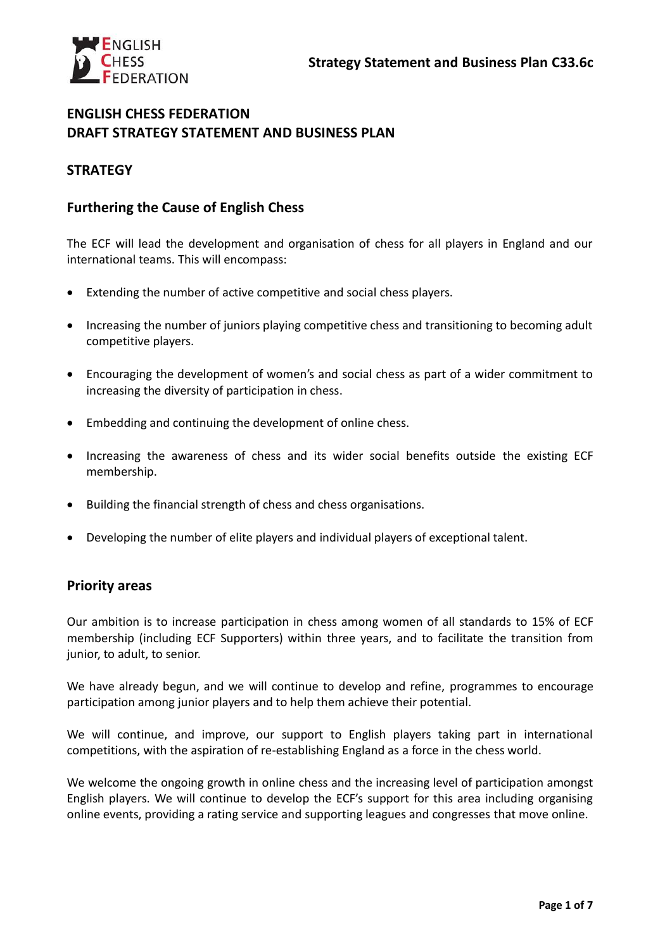

## **ENGLISH CHESS FEDERATION DRAFT STRATEGY STATEMENT AND BUSINESS PLAN**

# **STRATEGY**

# **Furthering the Cause of English Chess**

The ECF will lead the development and organisation of chess for all players in England and our international teams. This will encompass:

- Extending the number of active competitive and social chess players.
- Increasing the number of juniors playing competitive chess and transitioning to becoming adult competitive players.
- Encouraging the development of women's and social chess as part of a wider commitment to increasing the diversity of participation in chess.
- Embedding and continuing the development of online chess.
- Increasing the awareness of chess and its wider social benefits outside the existing ECF membership.
- Building the financial strength of chess and chess organisations.
- Developing the number of elite players and individual players of exceptional talent.

# **Priority areas**

Our ambition is to increase participation in chess among women of all standards to 15% of ECF membership (including ECF Supporters) within three years, and to facilitate the transition from junior, to adult, to senior.

We have already begun, and we will continue to develop and refine, programmes to encourage participation among junior players and to help them achieve their potential.

We will continue, and improve, our support to English players taking part in international competitions, with the aspiration of re-establishing England as a force in the chess world.

We welcome the ongoing growth in online chess and the increasing level of participation amongst English players. We will continue to develop the ECF's support for this area including organising online events, providing a rating service and supporting leagues and congresses that move online.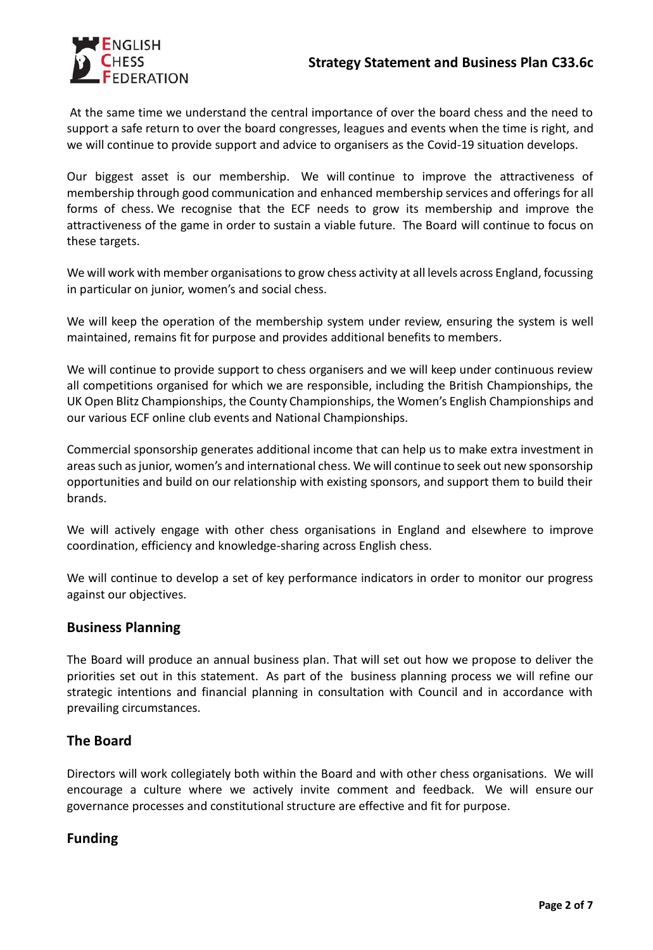

At the same time we understand the central importance of over the board chess and the need to support a safe return to over the board congresses, leagues and events when the time is right, and we will continue to provide support and advice to organisers as the Covid-19 situation develops.

Our biggest asset is our membership. We will continue to improve the attractiveness of membership through good communication and enhanced membership services and offerings for all forms of chess. We recognise that the ECF needs to grow its membership and improve the attractiveness of the game in order to sustain a viable future. The Board will continue to focus on these targets.

We will work with member organisations to grow chess activity at all levels across England, focussing in particular on junior, women's and social chess.

We will keep the operation of the membership system under review, ensuring the system is well maintained, remains fit for purpose and provides additional benefits to members.

We will continue to provide support to chess organisers and we will keep under continuous review all competitions organised for which we are responsible, including the British Championships, the UK Open Blitz Championships, the County Championships, the Women's English Championships and our various ECF online club events and National Championships.

Commercial sponsorship generates additional income that can help us to make extra investment in areas such as junior, women's and international chess. We will continue to seek out new sponsorship opportunities and build on our relationship with existing sponsors, and support them to build their brands.

We will actively engage with other chess organisations in England and elsewhere to improve coordination, efficiency and knowledge-sharing across English chess.

We will continue to develop a set of key performance indicators in order to monitor our progress against our objectives.

### **Business Planning**

The Board will produce an annual business plan. That will set out how we propose to deliver the priorities set out in this statement. As part of the business planning process we will refine our strategic intentions and financial planning in consultation with Council and in accordance with prevailing circumstances.

### **The Board**

Directors will work collegiately both within the Board and with other chess organisations. We will encourage a culture where we actively invite comment and feedback. We will ensure our governance processes and constitutional structure are effective and fit for purpose.

### **Funding**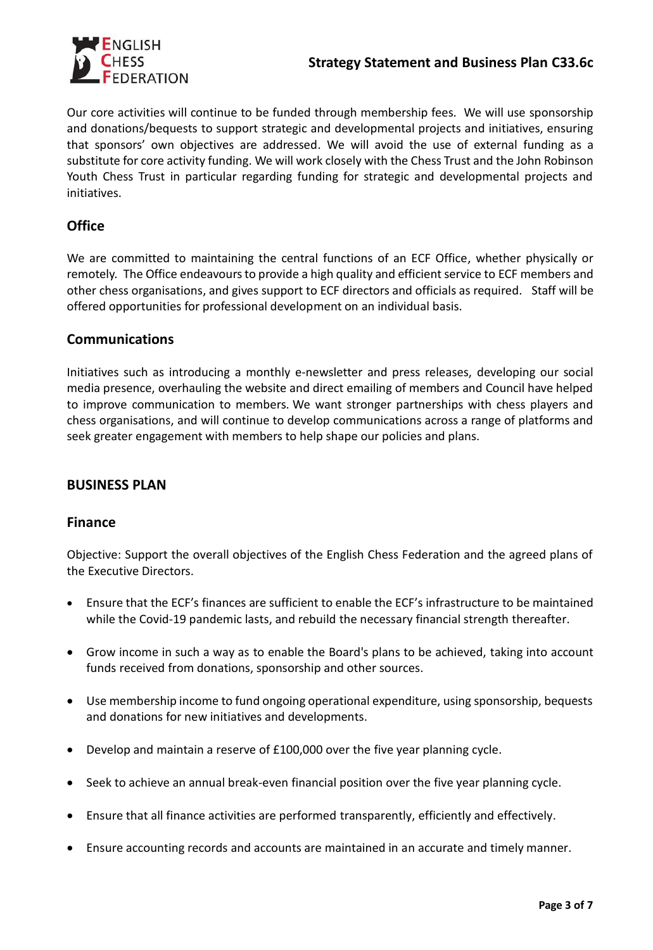

Our core activities will continue to be funded through membership fees. We will use sponsorship and donations/bequests to support strategic and developmental projects and initiatives, ensuring that sponsors' own objectives are addressed. We will avoid the use of external funding as a substitute for core activity funding. We will work closely with the Chess Trust and the John Robinson Youth Chess Trust in particular regarding funding for strategic and developmental projects and initiatives.

# **Office**

We are committed to maintaining the central functions of an ECF Office, whether physically or remotely. The Office endeavours to provide a high quality and efficient service to ECF members and other chess organisations, and gives support to ECF directors and officials as required. Staff will be offered opportunities for professional development on an individual basis.

# **Communications**

Initiatives such as introducing a monthly e-newsletter and press releases, developing our social media presence, overhauling the website and direct emailing of members and Council have helped to improve communication to members. We want stronger partnerships with chess players and chess organisations, and will continue to develop communications across a range of platforms and seek greater engagement with members to help shape our policies and plans.

### **BUSINESS PLAN**

### **Finance**

Objective: Support the overall objectives of the English Chess Federation and the agreed plans of the Executive Directors.

- Ensure that the ECF's finances are sufficient to enable the ECF's infrastructure to be maintained while the Covid-19 pandemic lasts, and rebuild the necessary financial strength thereafter.
- Grow income in such a way as to enable the Board's plans to be achieved, taking into account funds received from donations, sponsorship and other sources.
- Use membership income to fund ongoing operational expenditure, using sponsorship, bequests and donations for new initiatives and developments.
- Develop and maintain a reserve of £100,000 over the five year planning cycle.
- Seek to achieve an annual break-even financial position over the five year planning cycle.
- Ensure that all finance activities are performed transparently, efficiently and effectively.
- Ensure accounting records and accounts are maintained in an accurate and timely manner.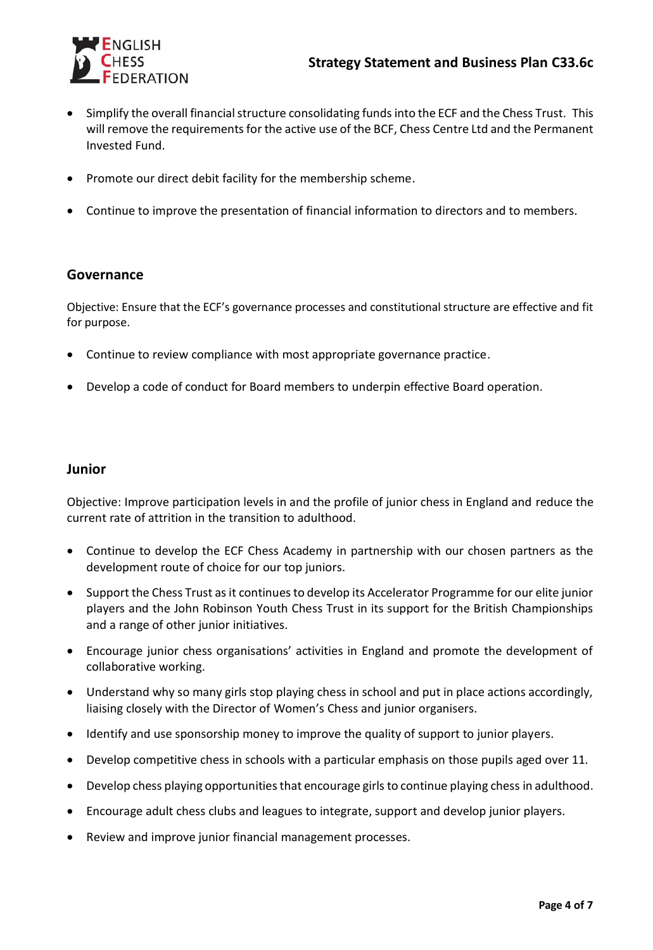

- Simplify the overall financial structure consolidating funds into the ECF and the Chess Trust. This will remove the requirements for the active use of the BCF, Chess Centre Ltd and the Permanent Invested Fund.
- Promote our direct debit facility for the membership scheme.
- Continue to improve the presentation of financial information to directors and to members.

#### **Governance**

Objective: Ensure that the ECF's governance processes and constitutional structure are effective and fit for purpose.

- Continue to review compliance with most appropriate governance practice.
- Develop a code of conduct for Board members to underpin effective Board operation.

#### **Junior**

Objective: Improve participation levels in and the profile of junior chess in England and reduce the current rate of attrition in the transition to adulthood.

- Continue to develop the ECF Chess Academy in partnership with our chosen partners as the development route of choice for our top juniors.
- Support the Chess Trust as it continues to develop its Accelerator Programme for our elite junior players and the John Robinson Youth Chess Trust in its support for the British Championships and a range of other junior initiatives.
- Encourage junior chess organisations' activities in England and promote the development of collaborative working.
- Understand why so many girls stop playing chess in school and put in place actions accordingly, liaising closely with the Director of Women's Chess and junior organisers.
- Identify and use sponsorship money to improve the quality of support to junior players.
- Develop competitive chess in schools with a particular emphasis on those pupils aged over 11.
- Develop chess playing opportunities that encourage girls to continue playing chess in adulthood.
- Encourage adult chess clubs and leagues to integrate, support and develop junior players.
- Review and improve junior financial management processes.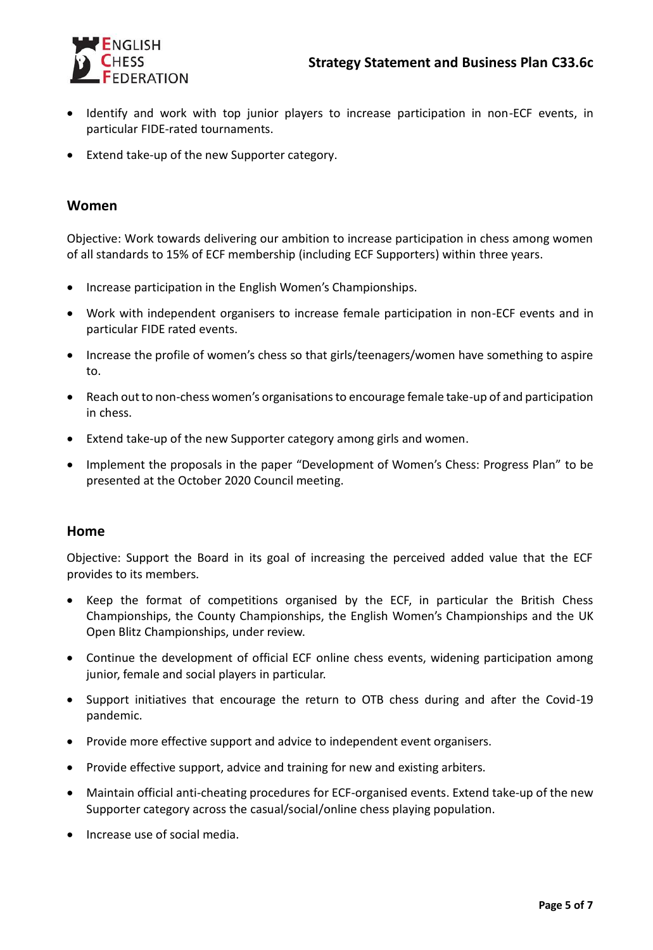

- Identify and work with top junior players to increase participation in non-ECF events, in particular FIDE-rated tournaments.
- Extend take-up of the new Supporter category.

#### **Women**

Objective: Work towards delivering our ambition to increase participation in chess among women of all standards to 15% of ECF membership (including ECF Supporters) within three years.

- Increase participation in the English Women's Championships.
- Work with independent organisers to increase female participation in non-ECF events and in particular FIDE rated events.
- Increase the profile of women's chess so that girls/teenagers/women have something to aspire to.
- Reach out to non-chess women's organisations to encourage female take-up of and participation in chess.
- Extend take-up of the new Supporter category among girls and women.
- Implement the proposals in the paper "Development of Women's Chess: Progress Plan" to be presented at the October 2020 Council meeting.

#### **Home**

Objective: Support the Board in its goal of increasing the perceived added value that the ECF provides to its members.

- Keep the format of competitions organised by the ECF, in particular the British Chess Championships, the County Championships, the English Women's Championships and the UK Open Blitz Championships, under review.
- Continue the development of official ECF online chess events, widening participation among junior, female and social players in particular.
- Support initiatives that encourage the return to OTB chess during and after the Covid-19 pandemic.
- Provide more effective support and advice to independent event organisers.
- Provide effective support, advice and training for new and existing arbiters.
- Maintain official anti-cheating procedures for ECF-organised events. Extend take-up of the new Supporter category across the casual/social/online chess playing population.
- Increase use of social media.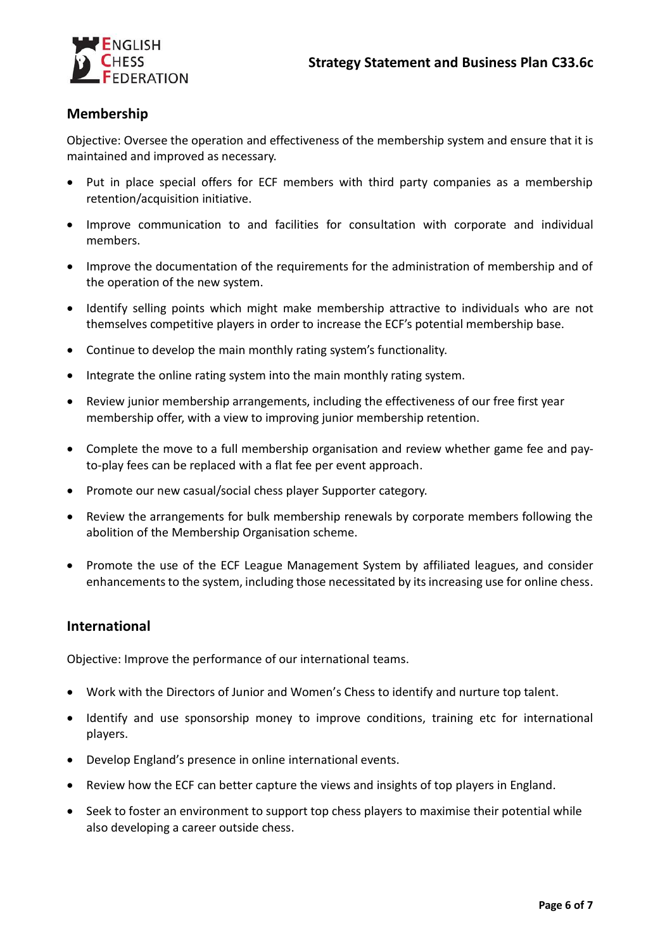

# **Membership**

Objective: Oversee the operation and effectiveness of the membership system and ensure that it is maintained and improved as necessary.

- Put in place special offers for ECF members with third party companies as a membership retention/acquisition initiative.
- Improve communication to and facilities for consultation with corporate and individual members.
- Improve the documentation of the requirements for the administration of membership and of the operation of the new system.
- Identify selling points which might make membership attractive to individuals who are not themselves competitive players in order to increase the ECF's potential membership base.
- Continue to develop the main monthly rating system's functionality.
- Integrate the online rating system into the main monthly rating system.
- Review junior membership arrangements, including the effectiveness of our free first year membership offer, with a view to improving junior membership retention.
- Complete the move to a full membership organisation and review whether game fee and payto-play fees can be replaced with a flat fee per event approach.
- Promote our new casual/social chess player Supporter category.
- Review the arrangements for bulk membership renewals by corporate members following the abolition of the Membership Organisation scheme.
- Promote the use of the ECF League Management System by affiliated leagues, and consider enhancements to the system, including those necessitated by its increasing use for online chess.

### **International**

Objective: Improve the performance of our international teams.

- Work with the Directors of Junior and Women's Chess to identify and nurture top talent.
- Identify and use sponsorship money to improve conditions, training etc for international players.
- Develop England's presence in online international events.
- Review how the ECF can better capture the views and insights of top players in England.
- Seek to foster an environment to support top chess players to maximise their potential while also developing a career outside chess.